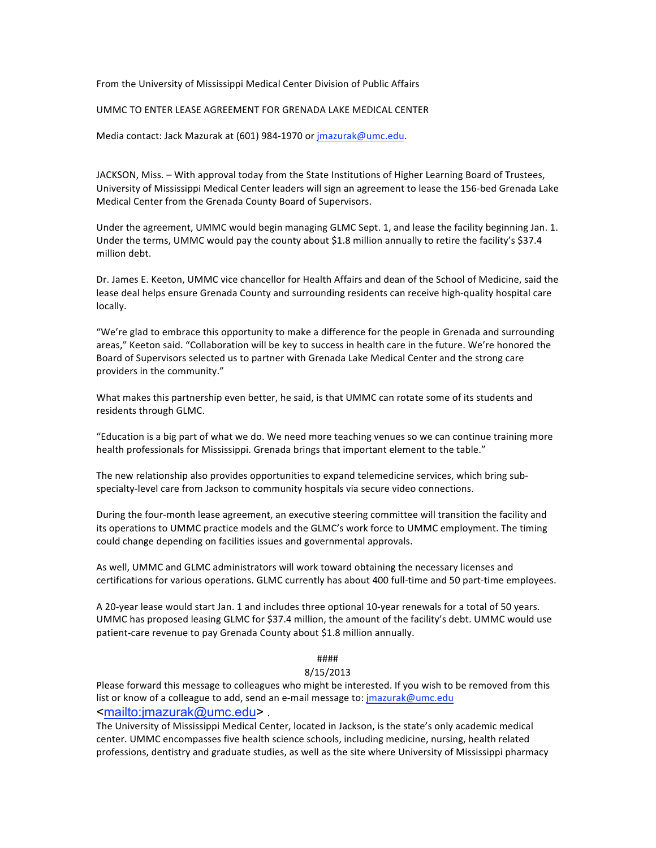From the University of Mississippi Medical Center Division of Public Affairs

## UMMC TO ENTER LEASE AGREEMENT FOR GRENADA LAKE MEDICAL CENTER

Media contact: Jack Mazurak at (601) 984‐1970 or jmazurak@umc.edu.

JACKSON, Miss. – With approval today from the State Institutions of Higher Learning Board of Trustees, University of Mississippi Medical Center leaders will sign an agreement to lease the 156‐bed Grenada Lake Medical Center from the Grenada County Board of Supervisors.

Under the agreement, UMMC would begin managing GLMC Sept. 1, and lease the facility beginning Jan. 1. Under the terms, UMMC would pay the county about \$1.8 million annually to retire the facility's \$37.4 million debt.

Dr. James E. Keeton, UMMC vice chancellor for Health Affairs and dean of the School of Medicine, said the lease deal helps ensure Grenada County and surrounding residents can receive high‐quality hospital care locally.

"We're glad to embrace this opportunity to make a difference for the people in Grenada and surrounding areas," Keeton said. "Collaboration will be key to success in health care in the future. We're honored the Board of Supervisors selected us to partner with Grenada Lake Medical Center and the strong care providers in the community."

What makes this partnership even better, he said, is that UMMC can rotate some of its students and residents through GLMC.

"Education is a big part of what we do. We need more teaching venues so we can continue training more health professionals for Mississippi. Grenada brings that important element to the table."

The new relationship also provides opportunities to expand telemedicine services, which bring sub‐ specialty‐level care from Jackson to community hospitals via secure video connections.

During the four‐month lease agreement, an executive steering committee will transition the facility and its operations to UMMC practice models and the GLMC's work force to UMMC employment. The timing could change depending on facilities issues and governmental approvals.

As well, UMMC and GLMC administrators will work toward obtaining the necessary licenses and certifications for various operations. GLMC currently has about 400 full-time and 50 part-time employees.

A 20‐year lease would start Jan. 1 and includes three optional 10‐year renewals for a total of 50 years. UMMC has proposed leasing GLMC for \$37.4 million, the amount of the facility's debt. UMMC would use patient‐care revenue to pay Grenada County about \$1.8 million annually.

## ####

## 8/15/2013

Please forward this message to colleagues who might be interested. If you wish to be removed from this list or know of a colleague to add, send an e-mail message to: jmazurak@umc.edu <mailto:jmazurak@umc.edu> .

The University of Mississippi Medical Center, located in Jackson, is the state's only academic medical center. UMMC encompasses five health science schools, including medicine, nursing, health related professions, dentistry and graduate studies, as well as the site where University of Mississippi pharmacy